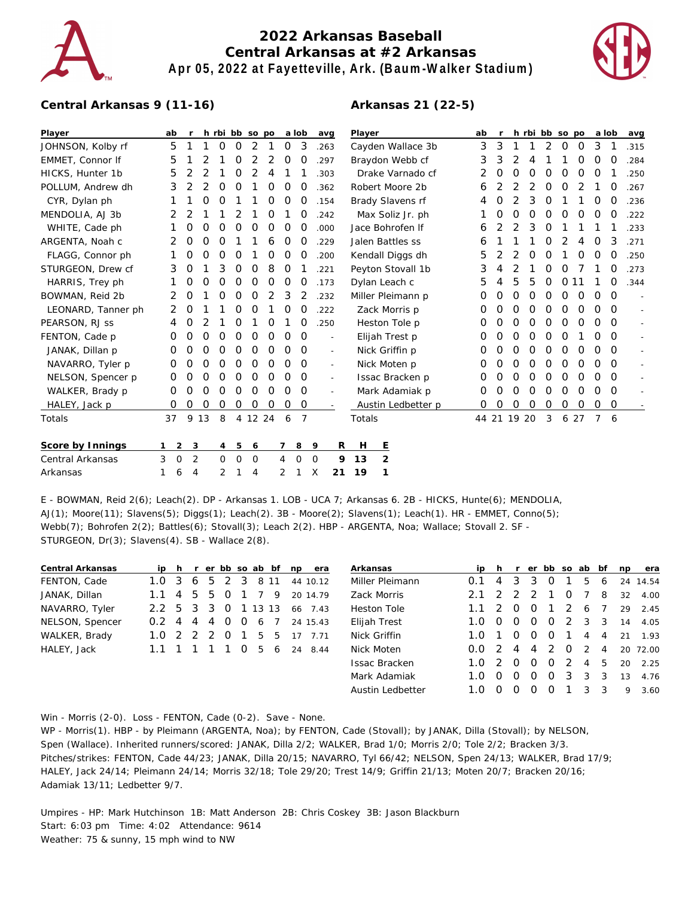

## **2022 Arkansas Baseball Central Arkansas at #2 Arkansas Apr 05, 2022 at Fayetteville, Ark. (Baum-Walker Stadium)**

**Arkansas 21 (22-5)**



## **Central Arkansas 9 (11-16)**

| Player             | ab |                |                |    |          |         | h rbi bb so po |   |   | a lob          |                | avg                      | Player             |                   | ab | $\mathsf{r}$ |             |   |   | h rbi bb so po |          | a lob    |               | avg                      |                          |
|--------------------|----|----------------|----------------|----|----------|---------|----------------|---|---|----------------|----------------|--------------------------|--------------------|-------------------|----|--------------|-------------|---|---|----------------|----------|----------|---------------|--------------------------|--------------------------|
| JOHNSON, Kolby rf  | 5  |                |                |    | 0        | O       | $\overline{2}$ |   | 0 | 3              |                | .263                     | Cayden Wallace 3b  |                   |    | 3            | 3           |   |   | 2              | 0        | 0        | 3             | -1                       | .315                     |
| EMMET, Connor If   | 5  |                |                | 2  |          | 0       | 2              | 2 | O | O              |                | .297                     | Braydon Webb cf    |                   |    | 3            | 3           | 2 | 4 |                |          | O        | 0             | O                        | .284                     |
| HICKS, Hunter 1b   | 5  |                | 2              | 2  |          | 0       | 2              | 4 |   |                |                | .303                     | Drake Varnado cf   |                   |    | 2            | 0           | 0 | 0 | O              | O        | O        | 0             |                          | .250                     |
| POLLUM, Andrew dh  |    | 3              | 2              | 2  | 0        | 0       |                | 0 | 0 | 0              |                | .362                     |                    | Robert Moore 2b   |    | 6            | 2           | 2 | 2 | 0              | 0        | 2        |               | $\Omega$                 | .267                     |
| CYR, Dylan ph      |    |                |                | 0  | 0        |         |                | 0 | 0 | 0              |                | .154                     |                    | Brady Slavens rf  |    | 4            | 0           | 2 | 3 | 0              |          |          | 0             | 0                        | .236                     |
| MENDOLIA, AJ 3b    | 2  |                | 2              |    |          |         |                | 0 |   | O              |                | .242                     |                    | Max Soliz Jr. ph  |    |              | O           | 0 | 0 | 0              | 0        | 0        | $\Omega$      | $\Omega$                 | .222                     |
| WHITE, Cade ph     |    |                | 0              | 0  | O        | O       | O              | O | O | O              |                | .000                     |                    | Jace Bohrofen If  |    | 6            | 2           | 2 | 3 | 0              |          |          |               |                          | .233                     |
| ARGENTA, Noah c    |    |                | 0              | 0  | 0        |         |                | 6 | O | O              |                | .229                     |                    | Jalen Battles ss  |    | 6            |             |   |   | 0              | 2        | 4        | 0             | 3                        | .271                     |
| FLAGG, Connor ph   |    |                | 0              | 0  | 0        | 0       |                | 0 | 0 | O              |                | .200                     |                    | Kendall Diggs dh  |    | 5            | 2           | 2 | 0 | 0              |          | 0        | 0             | O                        | .250                     |
| STURGEON, Drew cf  |    | 3              | O              |    | 3        | 0       | O              | 8 | 0 |                |                | .221                     |                    | Peyton Stovall 1b |    | 3            | 4           | 2 |   | 0              | O        |          |               | O                        | .273                     |
| HARRIS, Trey ph    |    |                | O              | 0  | 0        | 0       | 0              | 0 | 0 | O              |                | .173                     | Dylan Leach c      |                   |    | 5            | 4           | 5 | 5 | 0              | 0        | 11       |               | $\Omega$                 | .344                     |
| BOWMAN, Reid 2b    | 2  |                | 0              |    | O        | 0       | O              | 2 | 3 | $\overline{2}$ |                | .232                     | Miller Pleimann p  |                   | 0  | 0            | 0           | 0 | 0 | 0              | 0        | 0        | $\mathcal{O}$ | $\overline{a}$           |                          |
| LEONARD, Tanner ph |    | 2              | 0              |    |          | 0       | O              |   | 0 | O              |                | .222                     | Zack Morris p      |                   | 0  | 0            | O           | 0 | 0 | 0              | $\Omega$ | $\Omega$ | $\Omega$      | $\sim$                   |                          |
| PEARSON, RJ SS     | 4  |                | Ο              |    |          | O       |                | O |   | O              |                | .250                     | Heston Tole p      |                   | Ο  | 0            | 0           | 0 | 0 | 0              | 0        | O        | $\Omega$      | $\overline{\phantom{a}}$ |                          |
| FENTON, Cade p     | 0  |                | 0              | O  | 0        | 0       | O              | O | O | $\Omega$       |                | $\overline{a}$           |                    | Elijah Trest p    |    | O            | 0           | O | O | 0              | O        |          | 0             | $\Omega$                 | $\overline{\phantom{a}}$ |
| JANAK, Dillan p    | 0  |                | 0              | 0  | O        | 0       | O              | O | O | 0              |                | $\sim$                   | Nick Griffin p     |                   | 0  | 0            | 0           | 0 | 0 | 0              | 0        | 0        | 0             | $\sim$                   |                          |
| NAVARRO, Tyler p   | 0  |                | O              | O  | 0        | 0       | 0              | 0 | O | 0              |                | $\sim$                   |                    | Nick Moten p      |    | 0            | O           | 0 | 0 | 0              | 0        | 0        | 0             | $\Omega$                 | ÷.                       |
| NELSON, Spencer p  | O  |                | 0              | O  | 0        | 0       | 0              | 0 | 0 | 0              |                | $\overline{\phantom{a}}$ | Issac Bracken p    |                   | 0  | 0            | 0           | 0 | 0 | 0              | 0        | 0        | $\Omega$      |                          |                          |
| WALKER, Brady p    | 0  |                | 0              | 0  | 0        | 0       | O              | O | O | 0              |                | $\sim$                   | Mark Adamiak p     |                   | 0  | 0            | 0           | 0 | 0 | 0              | 0        | O        | $\Omega$      |                          |                          |
| HALEY, Jack p      | 0  |                | 0              | 0  | 0        | 0       | 0              | 0 | 0 | O              |                | $\overline{\phantom{a}}$ | Austin Ledbetter p |                   | 0  | 0            | 0           | 0 | 0 | 0              | 0        | 0        | 0             |                          |                          |
| Totals             | 37 |                | 9              | 13 | 8        |         | 4 12 24        |   | 6 | $\overline{7}$ |                |                          | Totals             |                   |    |              | 44 21 19 20 |   |   | 3              |          | 6 27     | 7             | -6                       |                          |
| Score by Innings   |    | $\overline{2}$ | 3              |    | 4        | 5       | 6              |   | 7 | 8              | 9              | R                        | H                  | <u>E</u>          |    |              |             |   |   |                |          |          |               |                          |                          |
| Central Arkansas   | 3  | $\circ$        | $\overline{2}$ |    | $\Omega$ | $\circ$ | $\mathbf 0$    |   | 4 | $\mathbf 0$    | $\overline{0}$ | 9                        | 13                 | 2                 |    |              |             |   |   |                |          |          |               |                          |                          |
| Arkansas           | 1  | 6              | $\overline{4}$ |    | 2        |         | 4              |   | 2 |                | X              | 21                       | 19                 | 1                 |    |              |             |   |   |                |          |          |               |                          |                          |

E - BOWMAN, Reid 2(6); Leach(2). DP - Arkansas 1. LOB - UCA 7; Arkansas 6. 2B - HICKS, Hunte(6); MENDOLIA, AJ(1); Moore(11); Slavens(5); Diggs(1); Leach(2). 3B - Moore(2); Slavens(1); Leach(1). HR - EMMET, Conno(5); Webb(7); Bohrofen 2(2); Battles(6); Stovall(3); Leach 2(2). HBP - ARGENTA, Noa; Wallace; Stovall 2. SF -STURGEON, Dr(3); Slavens(4). SB - Wallace 2(8).

| Central Arkansas |  |  |  |  | ip h r er bb so ab bf np era |
|------------------|--|--|--|--|------------------------------|
| FENTON, Cade     |  |  |  |  | 1.0 3 6 5 2 3 8 11 44 10.12  |
| JANAK, Dillan    |  |  |  |  | 1.1 4 5 5 0 1 7 9 20 14.79   |
| NAVARRO, Tyler   |  |  |  |  | 2.2 5 3 3 0 1 13 13 66 7.43  |
| NELSON, Spencer  |  |  |  |  | 0.2 4 4 4 0 0 6 7 24 15.43   |
| WALKER, Brady    |  |  |  |  | 1.0 2 2 2 0 1 5 5 17 7.71    |
| HALEY, Jack      |  |  |  |  | 1.1 1 1 1 1 0 5 6 24 8.44    |
|                  |  |  |  |  |                              |

| Arkansas         | ip  | h.            | r.               |                  |                  |          | er bb so ab bf |                | np | era      |
|------------------|-----|---------------|------------------|------------------|------------------|----------|----------------|----------------|----|----------|
| Miller Pleimann  | 0.1 | 4             | 3                | 3                | O                | 1        | 5              | 6              |    | 24 14.54 |
| Zack Morris      | 21  | 2             | 2                | 2                | 1                | O        | 7              | 8              | 32 | 4.00     |
| Heston Tole      | 1.1 | $\mathcal{P}$ | O                | O                | $\mathbf{1}$     | 2        | 6              | 7              | 29 | 2.45     |
| Elijah Trest     | 1.O | $\left($ )    | $\left($         | O                | O                | 2        | - 3            | 3              | 14 | 4.05     |
| Nick Griffin     | 1.O | 1             | O                | O                | O                | 1        | 4              | 4              | 21 | 1.93     |
| Nick Moten       | O.O | $\mathcal{P}$ | $\overline{4}$   | $\overline{4}$   | 2                | $\Omega$ | 2              | $\overline{4}$ |    | 20 72.00 |
| Issac Bracken    | 1.O | 2             | O                | O                | 0                | 2        | $\overline{4}$ | 5              | 20 | 2.25     |
| Mark Adamiak     | 1.O |               | $\left( \right)$ | $\left( \right)$ | O                | 3        | -3             | 3              | 13 | 4.76     |
| Austin Ledbetter |     |               |                  |                  | $\left( \right)$ | 1        | 3              | 3              | 9  | 3.60     |
|                  |     |               |                  |                  |                  |          |                |                |    |          |

Win - Morris (2-0). Loss - FENTON, Cade (0-2). Save - None.

WP - Morris(1). HBP - by Pleimann (ARGENTA, Noa); by FENTON, Cade (Stovall); by JANAK, Dilla (Stovall); by NELSON, Spen (Wallace). Inherited runners/scored: JANAK, Dilla 2/2; WALKER, Brad 1/0; Morris 2/0; Tole 2/2; Bracken 3/3. Pitches/strikes: FENTON, Cade 44/23; JANAK, Dilla 20/15; NAVARRO, Tyl 66/42; NELSON, Spen 24/13; WALKER, Brad 17/9; HALEY, Jack 24/14; Pleimann 24/14; Morris 32/18; Tole 29/20; Trest 14/9; Griffin 21/13; Moten 20/7; Bracken 20/16; Adamiak 13/11; Ledbetter 9/7.

Umpires - HP: Mark Hutchinson 1B: Matt Anderson 2B: Chris Coskey 3B: Jason Blackburn Start: 6:03 pm Time: 4:02 Attendance: 9614 Weather: 75 & sunny, 15 mph wind to NW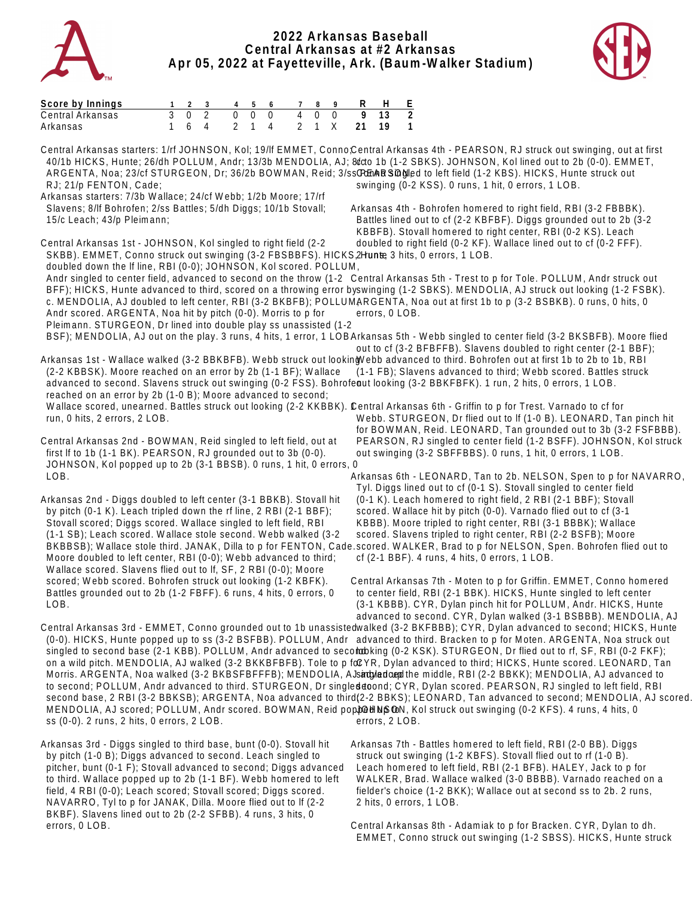

## **2022 Arkansas Baseball Central Arkansas at #2 Arkansas Apr 05, 2022 at Fayetteville, Ark. (Baum-Walker Stadium)**



| Score by Innings |  |  |  | 1 2 3 4 5 6 7 8 9 R H E  |  |  |                          |
|------------------|--|--|--|--------------------------|--|--|--------------------------|
| Central Arkansas |  |  |  | 3 0 2 0 0 0 4 0 0 9 13 2 |  |  |                          |
| Arkansas         |  |  |  | 1 6 4 2 1 4 2 1 X 21 19  |  |  | $\overline{\phantom{1}}$ |

Central Arkansas starters: 1/rf JOHNSON, Kol; 19/lf EMMET, Conno;Central Arkansas 4th - PEARSON, RJ struck out swinging, out at first 40/1b HICKS, Hunte; 26/dh POLLUM, Andr; 13/3b MENDOLIA, AJ; 8/c c to 1b (1-2 SBKS). JOHNSON, Kol lined out to 2b (0-0). EMMET, ARGENTA, Noa; 23/cf STURGEON, Dr; 36/2b BOWMAN, Reid; 3/ss CEnARSingled to left field (1-2 KBS). HICKS, Hunte struck out RJ; 21/p FENTON, Cade; Arkansas starters: 7/3b Wallace; 24/cf Webb; 1/2b Moore; 17/rf Slavens; 8/lf Bohrofen; 2/ss Battles; 5/dh Diggs; 10/1b Stovall; 15/c Leach; 43/p Pleimann; Central Arkansas 1st - JOHNSON, Kol singled to right field (2-2 SKBB). EMMET, Conno struck out swinging (3-2 FBSBBFS). HICKS 2Hunte 3 hits, 0 errors, 1 LOB. doubled down the lf line, RBI (0-0); JOHNSON, Kol scored. POLLUM, Andr singled to center field, advanced to second on the throw (1-2 Central Arkansas 5th - Trest to p for Tole. POLLUM, Andr struck out BFF); HICKS, Hunte advanced to third, scored on a throwing error byswinging (1-2 SBKS). MENDOLIA, AJ struck out looking (1-2 FSBK). c. MENDOLIA, AJ doubled to left center, RBI (3-2 BKBFB); POLLUMARGENTA, Noa out at first 1b to p (3-2 BSBKB). 0 runs, 0 hits, 0 Andr scored. ARGENTA, Noa hit by pitch (0-0). Morris to p for Pleimann. STURGEON, Dr lined into double play ss unassisted (1-2 BSF); MENDOLIA, AJ out on the play. 3 runs, 4 hits, 1 error, 1 LOBArkansas 5th - Webb singled to center field (3-2 BKSBFB). Moore flied Arkansas 1st - Wallace walked (3-2 BBKBFB). Webb struck out lookinġVebb advanced to third. Bohrofen out at first 1b to 2b to 1b, RBI (2-2 KBBSK). Moore reached on an error by 2b (1-1 BF); Wallace advanced to second. Slavens struck out swinging (0-2 FSS). Bohrofeaut looking (3-2 BBKFBFK). 1 run, 2 hits, 0 errors, 1 LOB. reached on an error by 2b (1-0 B); Moore advanced to second; Wallace scored, unearned. Battles struck out looking (2-2 KKBBK). Central Arkansas 6th - Griffin to p for Trest. Varnado to cf for run, 0 hits, 2 errors, 2 LOB. Central Arkansas 2nd - BOWMAN, Reid singled to left field, out at first lf to 1b (1-1 BK). PEARSON, RJ grounded out to 3b (0-0). JOHNSON, Kol popped up to 2b (3-1 BBSB). 0 runs, 1 hit, 0 errors, 0 LOB. Arkansas 2nd - Diggs doubled to left center (3-1 BBKB). Stovall hit by pitch (0-1 K). Leach tripled down the rf line, 2 RBI (2-1 BBF); Stovall scored; Diggs scored. Wallace singled to left field, RBI (1-1 SB); Leach scored. Wallace stole second. Webb walked (3-2 BKBBSB); Wallace stole third. JANAK, Dilla to p for FENTON, Cade.scored. WALKER, Brad to p for NELSON, Spen. Bohrofen flied out to Moore doubled to left center, RBI (0-0); Webb advanced to third; Wallace scored. Slavens flied out to lf, SF, 2 RBI (0-0); Moore scored; Webb scored. Bohrofen struck out looking (1-2 KBFK). Battles grounded out to 2b (1-2 FBFF). 6 runs, 4 hits, 0 errors, 0 LOB. Central Arkansas 3rd - EMMET, Conno grounded out to 1b unassistedwalked (3-2 BKFBBB); CYR, Dylan advanced to second; HICKS, Hunte (0-0). HICKS, Hunte popped up to ss (3-2 BSFBB). POLLUM, Andr advanced to third. Bracken to p for Moten. ARGENTA, Noa struck out singled to second base (2-1 KBB). POLLUM, Andr advanced to secoloobking (0-2 KSK). STURGEON, Dr flied out to rf, SF, RBI (0-2 FKF); on a wild pitch. MENDOLIA, AJ walked (3-2 BKKBFBFB). Tole to p focYR, Dylan advanced to third; HICKS, Hunte scored. LEONARD, Tan Morris. ARGENTA, Noa walked (3-2 BKBSFBFFFB); MENDOLIA, AJ strughed and the middle, RBI (2-2 BBKK); MENDOLIA, AJ advanced to to second; POLLUM, Andr advanced to third. STURGEON, Dr singleddoond; CYR, Dylan scored. PEARSON, RJ singled to left field, RBI second base, 2 RBI (3-2 BBKSB); ARGENTA, Noa advanced to third(2-2 BBKS); LEONARD, Tan advanced to second; MENDOLIA, AJ scored. MENDOLIA, AJ scored; POLLUM, Andr scored. BOWMAN, Reid popped up Sol, Kol struck out swinging (0-2 KFS). 4 runs, 4 hits, 0 swinging (0-2 KSS). 0 runs, 1 hit, 0 errors, 1 LOB. Arkansas 4th - Bohrofen homered to right field, RBI (3-2 FBBBK). Battles lined out to cf (2-2 KBFBF). Diggs grounded out to 2b (3-2 KBBFB). Stovall homered to right center, RBI (0-2 KS). Leach doubled to right field (0-2 KF). Wallace lined out to cf (0-2 FFF). errors, 0 LOB. out to cf (3-2 BFBFFB). Slavens doubled to right center (2-1 BBF); (1-1 FB); Slavens advanced to third; Webb scored. Battles struck Webb. STURGEON, Dr flied out to lf (1-0 B). LEONARD, Tan pinch hit for BOWMAN, Reid. LEONARD, Tan grounded out to 3b (3-2 FSFBBB). PEARSON, RJ singled to center field (1-2 BSFF). JOHNSON, Kol struck out swinging (3-2 SBFFBBS). 0 runs, 1 hit, 0 errors, 1 LOB. Arkansas 6th - LEONARD, Tan to 2b. NELSON, Spen to p for NAVARRO, Tyl. Diggs lined out to cf (0-1 S). Stovall singled to center field (0-1 K). Leach homered to right field, 2 RBI (2-1 BBF); Stovall scored. Wallace hit by pitch (0-0). Varnado flied out to cf (3-1 KBBB). Moore tripled to right center, RBI (3-1 BBBK); Wallace scored. Slavens tripled to right center, RBI (2-2 BSFB); Moore cf (2-1 BBF). 4 runs, 4 hits, 0 errors, 1 LOB. Central Arkansas 7th - Moten to p for Griffin. EMMET, Conno homered to center field, RBI (2-1 BBK). HICKS, Hunte singled to left center (3-1 KBBB). CYR, Dylan pinch hit for POLLUM, Andr. HICKS, Hunte advanced to second. CYR, Dylan walked (3-1 BSBBB). MENDOLIA, AJ

errors, 2 LOB.

ss (0-0). 2 runs, 2 hits, 0 errors, 2 LOB.

Arkansas 3rd - Diggs singled to third base, bunt (0-0). Stovall hit by pitch (1-0 B); Diggs advanced to second. Leach singled to pitcher, bunt (0-1 F); Stovall advanced to second; Diggs advanced to third. Wallace popped up to 2b (1-1 BF). Webb homered to left field, 4 RBI (0-0); Leach scored; Stovall scored; Diggs scored. NAVARRO, Tyl to p for JANAK, Dilla. Moore flied out to lf (2-2 BKBF). Slavens lined out to 2b (2-2 SFBB). 4 runs, 3 hits, 0 errors, 0 LOB.

Arkansas 7th - Battles homered to left field, RBI (2-0 BB). Diggs struck out swinging (1-2 KBFS). Stovall flied out to rf (1-0 B). Leach homered to left field, RBI (2-1 BFB). HALEY, Jack to p for WALKER, Brad. Wallace walked (3-0 BBBB). Varnado reached on a fielder's choice (1-2 BKK); Wallace out at second ss to 2b. 2 runs, 2 hits, 0 errors, 1 LOB.

Central Arkansas 8th - Adamiak to p for Bracken. CYR, Dylan to dh. EMMET, Conno struck out swinging (1-2 SBSS). HICKS, Hunte struck